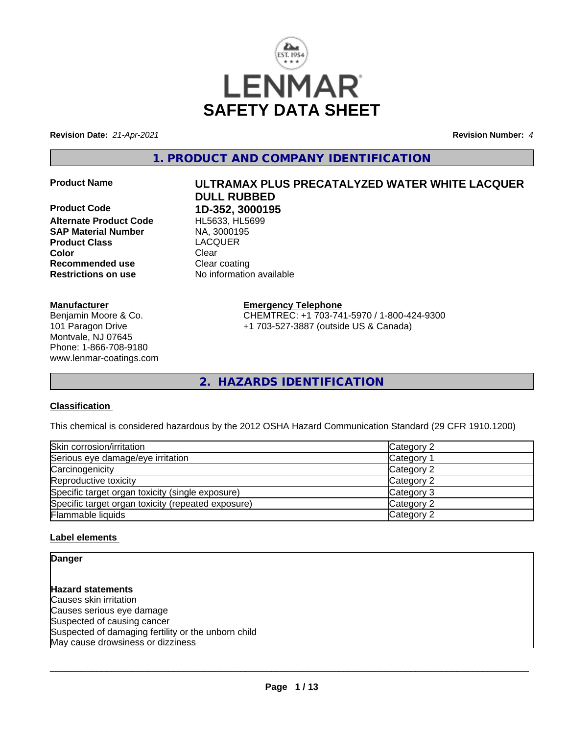

**Revision Date:** *21-Apr-2021* **Revision Number:** *4*

**1. PRODUCT AND COMPANY IDENTIFICATION**

**Product Code 1D-352, 3000195 Alternate Product Code** HL5633, HL5<br> **SAP Material Number** NA, 3000195 **SAP Material Number Product Class** LACQUER **Color** Clear Clear **Recommended use** Clear coating **Restrictions on use** No information available

#### **Manufacturer**

Benjamin Moore & Co. 101 Paragon Drive Montvale, NJ 07645 Phone: 1-866-708-9180 www.lenmar-coatings.com

# **Product Name ULTRAMAX PLUS PRECATALYZED WATER WHITE LACQUER DULL RUBBED**

**Emergency Telephone**

CHEMTREC: +1 703-741-5970 / 1-800-424-9300 +1 703-527-3887 (outside US & Canada)

**2. HAZARDS IDENTIFICATION**

#### **Classification**

This chemical is considered hazardous by the 2012 OSHA Hazard Communication Standard (29 CFR 1910.1200)

| Skin corrosion/irritation                          | Category 2            |
|----------------------------------------------------|-----------------------|
| Serious eye damage/eye irritation                  | Category <sup>2</sup> |
| Carcinogenicity                                    | Category 2            |
| Reproductive toxicity                              | Category 2            |
| Specific target organ toxicity (single exposure)   | Category 3            |
| Specific target organ toxicity (repeated exposure) | Category 2            |
| Flammable liquids                                  | Category 2            |

#### **Label elements**

**Danger**

**Hazard statements** Causes skin irritation Causes serious eye damage Suspected of causing cancer Suspected of damaging fertility or the unborn child May cause drowsiness or dizziness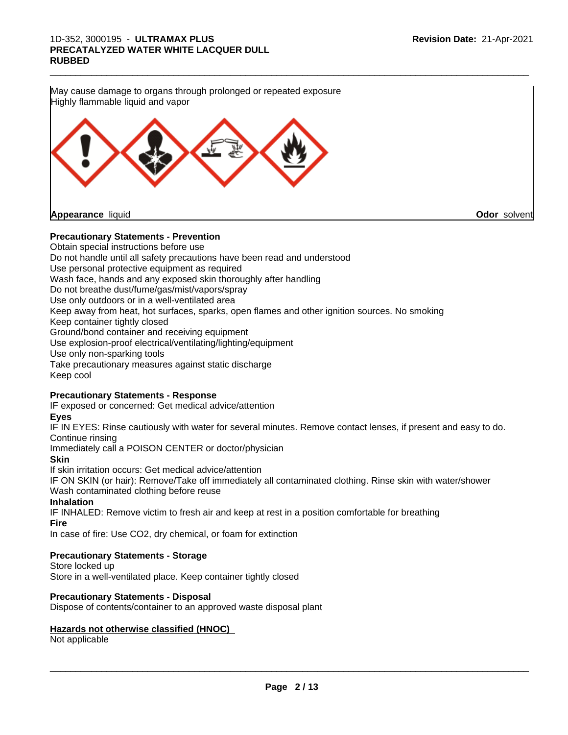

Do not handle until all safety precautions have been read and understood Use personal protective equipment as required Wash face, hands and any exposed skin thoroughly after handling Do not breathe dust/fume/gas/mist/vapors/spray Use only outdoors or in a well-ventilated area Keep away from heat, hot surfaces, sparks, open flames and other ignition sources. No smoking Keep container tightly closed Ground/bond container and receiving equipment Use explosion-proof electrical/ventilating/lighting/equipment Use only non-sparking tools Take precautionary measures against static discharge Keep cool

#### **Precautionary Statements - Response**

IF exposed or concerned: Get medical advice/attention

# **Eyes**

IF IN EYES: Rinse cautiously with water for several minutes. Remove contact lenses, if present and easy to do. Continue rinsing

Immediately call a POISON CENTER or doctor/physician

**Skin**

If skin irritation occurs: Get medical advice/attention

IF ON SKIN (or hair): Remove/Take off immediately all contaminated clothing. Rinse skin with water/shower Wash contaminated clothing before reuse

#### **Inhalation**

IF INHALED: Remove victim to fresh air and keep at rest in a position comfortable for breathing **Fire**

In case of fire: Use CO2, dry chemical, or foam for extinction

#### **Precautionary Statements - Storage**

Store locked up Store in a well-ventilated place. Keep container tightly closed

## **Precautionary Statements - Disposal**

Dispose of contents/container to an approved waste disposal plant

#### **Hazards not otherwise classified (HNOC)**

Not applicable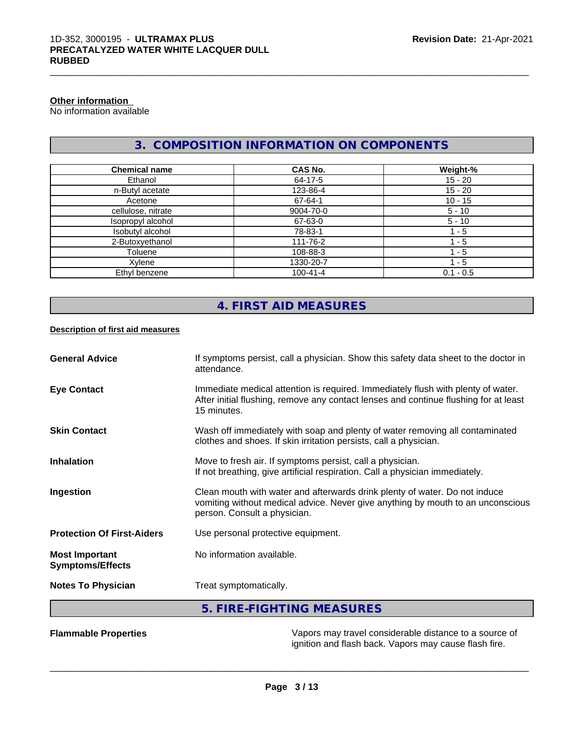# **Other information**

No information available

# **3. COMPOSITION INFORMATION ON COMPONENTS**

 $\_$  ,  $\_$  ,  $\_$  ,  $\_$  ,  $\_$  ,  $\_$  ,  $\_$  ,  $\_$  ,  $\_$  ,  $\_$  ,  $\_$  ,  $\_$  ,  $\_$  ,  $\_$  ,  $\_$  ,  $\_$  ,  $\_$  ,  $\_$  ,  $\_$  ,  $\_$  ,  $\_$  ,  $\_$  ,  $\_$  ,  $\_$  ,  $\_$  ,  $\_$  ,  $\_$  ,  $\_$  ,  $\_$  ,  $\_$  ,  $\_$  ,  $\_$  ,  $\_$  ,  $\_$  ,  $\_$  ,  $\_$  ,  $\_$  ,

| <b>Chemical name</b> | <b>CAS No.</b> | Weight-%    |
|----------------------|----------------|-------------|
| Ethanol              | 64-17-5        | $15 - 20$   |
| n-Butyl acetate      | 123-86-4       | $15 - 20$   |
| Acetone              | 67-64-1        | $10 - 15$   |
| cellulose, nitrate   | 9004-70-0      | $5 - 10$    |
| Isopropyl alcohol    | 67-63-0        | $5 - 10$    |
| Isobutyl alcohol     | 78-83-1        | $1 - 5$     |
| 2-Butoxyethanol      | 111-76-2       | 1 - 5       |
| Toluene              | 108-88-3       | 1 - 5       |
| Xylene               | 1330-20-7      | $1 - 5$     |
| Ethyl benzene        | $100 - 41 - 4$ | $0.1 - 0.5$ |

# **4. FIRST AID MEASURES**

#### **Description of first aid measures**

| <b>General Advice</b>                            | If symptoms persist, call a physician. Show this safety data sheet to the doctor in<br>attendance.                                                                                            |
|--------------------------------------------------|-----------------------------------------------------------------------------------------------------------------------------------------------------------------------------------------------|
| <b>Eye Contact</b>                               | Immediate medical attention is required. Immediately flush with plenty of water.<br>After initial flushing, remove any contact lenses and continue flushing for at least<br>15 minutes.       |
| <b>Skin Contact</b>                              | Wash off immediately with soap and plenty of water removing all contaminated<br>clothes and shoes. If skin irritation persists, call a physician.                                             |
| <b>Inhalation</b>                                | Move to fresh air. If symptoms persist, call a physician.<br>If not breathing, give artificial respiration. Call a physician immediately.                                                     |
| Ingestion                                        | Clean mouth with water and afterwards drink plenty of water. Do not induce<br>vomiting without medical advice. Never give anything by mouth to an unconscious<br>person. Consult a physician. |
| <b>Protection Of First-Aiders</b>                | Use personal protective equipment.                                                                                                                                                            |
| <b>Most Important</b><br><b>Symptoms/Effects</b> | No information available.                                                                                                                                                                     |
| <b>Notes To Physician</b>                        | Treat symptomatically.                                                                                                                                                                        |
|                                                  | 5. FIRE-FIGHTING MEASURES                                                                                                                                                                     |

**Flammable Properties** Vapors may travel considerable distance to a source of ignition and flash back. Vapors may cause flash fire.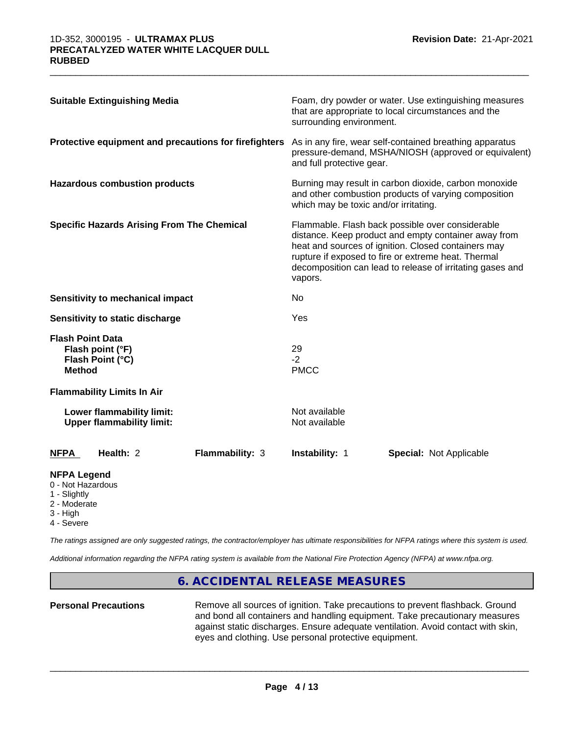| <b>Suitable Extinguishing Media</b>                                              | Foam, dry powder or water. Use extinguishing measures<br>that are appropriate to local circumstances and the<br>surrounding environment.                                                                                                                                                       |  |
|----------------------------------------------------------------------------------|------------------------------------------------------------------------------------------------------------------------------------------------------------------------------------------------------------------------------------------------------------------------------------------------|--|
| Protective equipment and precautions for firefighters                            | As in any fire, wear self-contained breathing apparatus<br>pressure-demand, MSHA/NIOSH (approved or equivalent)<br>and full protective gear.                                                                                                                                                   |  |
| <b>Hazardous combustion products</b>                                             | Burning may result in carbon dioxide, carbon monoxide<br>and other combustion products of varying composition<br>which may be toxic and/or irritating.                                                                                                                                         |  |
| <b>Specific Hazards Arising From The Chemical</b>                                | Flammable. Flash back possible over considerable<br>distance. Keep product and empty container away from<br>heat and sources of ignition. Closed containers may<br>rupture if exposed to fire or extreme heat. Thermal<br>decomposition can lead to release of irritating gases and<br>vapors. |  |
| <b>Sensitivity to mechanical impact</b>                                          | No.                                                                                                                                                                                                                                                                                            |  |
| Sensitivity to static discharge                                                  | Yes                                                                                                                                                                                                                                                                                            |  |
| <b>Flash Point Data</b><br>Flash point (°F)<br>Flash Point (°C)<br><b>Method</b> | 29<br>$-2$<br><b>PMCC</b>                                                                                                                                                                                                                                                                      |  |
| <b>Flammability Limits In Air</b>                                                |                                                                                                                                                                                                                                                                                                |  |
| Lower flammability limit:<br><b>Upper flammability limit:</b>                    | Not available<br>Not available                                                                                                                                                                                                                                                                 |  |
| Health: 2<br>Flammability: 3<br><b>NFPA</b>                                      | Instability: 1<br><b>Special: Not Applicable</b>                                                                                                                                                                                                                                               |  |
| <b>NFPA Legend</b><br>0 - Not Hazardous<br>1 - Slightly                          |                                                                                                                                                                                                                                                                                                |  |

 $\_$  ,  $\_$  ,  $\_$  ,  $\_$  ,  $\_$  ,  $\_$  ,  $\_$  ,  $\_$  ,  $\_$  ,  $\_$  ,  $\_$  ,  $\_$  ,  $\_$  ,  $\_$  ,  $\_$  ,  $\_$  ,  $\_$  ,  $\_$  ,  $\_$  ,  $\_$  ,  $\_$  ,  $\_$  ,  $\_$  ,  $\_$  ,  $\_$  ,  $\_$  ,  $\_$  ,  $\_$  ,  $\_$  ,  $\_$  ,  $\_$  ,  $\_$  ,  $\_$  ,  $\_$  ,  $\_$  ,  $\_$  ,  $\_$  ,

- 2 Moderate
- 3 High
- 4 Severe

*The ratings assigned are only suggested ratings, the contractor/employer has ultimate responsibilities for NFPA ratings where this system is used.*

*Additional information regarding the NFPA rating system is available from the National Fire Protection Agency (NFPA) at www.nfpa.org.*

#### **6. ACCIDENTAL RELEASE MEASURES**

**Personal Precautions** Remove all sources of ignition. Take precautions to prevent flashback. Ground and bond all containers and handling equipment. Take precautionary measures against static discharges. Ensure adequate ventilation. Avoid contact with skin, eyes and clothing. Use personal protective equipment.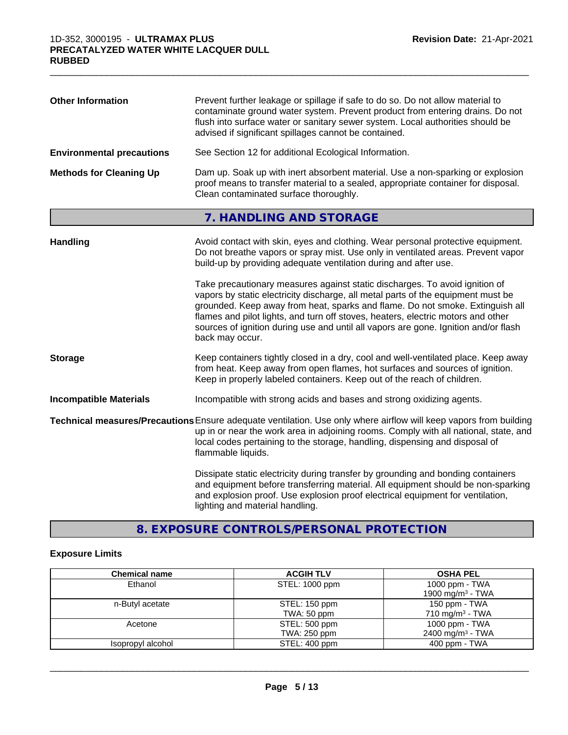| <b>Other Information</b>         | Prevent further leakage or spillage if safe to do so. Do not allow material to<br>contaminate ground water system. Prevent product from entering drains. Do not<br>flush into surface water or sanitary sewer system. Local authorities should be<br>advised if significant spillages cannot be contained.                                                                                                                                     |
|----------------------------------|------------------------------------------------------------------------------------------------------------------------------------------------------------------------------------------------------------------------------------------------------------------------------------------------------------------------------------------------------------------------------------------------------------------------------------------------|
| <b>Environmental precautions</b> | See Section 12 for additional Ecological Information.                                                                                                                                                                                                                                                                                                                                                                                          |
| <b>Methods for Cleaning Up</b>   | Dam up. Soak up with inert absorbent material. Use a non-sparking or explosion<br>proof means to transfer material to a sealed, appropriate container for disposal.<br>Clean contaminated surface thoroughly.                                                                                                                                                                                                                                  |
|                                  | 7. HANDLING AND STORAGE                                                                                                                                                                                                                                                                                                                                                                                                                        |
| <b>Handling</b>                  | Avoid contact with skin, eyes and clothing. Wear personal protective equipment.<br>Do not breathe vapors or spray mist. Use only in ventilated areas. Prevent vapor<br>build-up by providing adequate ventilation during and after use.                                                                                                                                                                                                        |
|                                  | Take precautionary measures against static discharges. To avoid ignition of<br>vapors by static electricity discharge, all metal parts of the equipment must be<br>grounded. Keep away from heat, sparks and flame. Do not smoke. Extinguish all<br>flames and pilot lights, and turn off stoves, heaters, electric motors and other<br>sources of ignition during use and until all vapors are gone. Ignition and/or flash<br>back may occur. |
| <b>Storage</b>                   | Keep containers tightly closed in a dry, cool and well-ventilated place. Keep away<br>from heat. Keep away from open flames, hot surfaces and sources of ignition.<br>Keep in properly labeled containers. Keep out of the reach of children.                                                                                                                                                                                                  |
| <b>Incompatible Materials</b>    | Incompatible with strong acids and bases and strong oxidizing agents.                                                                                                                                                                                                                                                                                                                                                                          |
|                                  | Technical measures/Precautions Ensure adequate ventilation. Use only where airflow will keep vapors from building<br>up in or near the work area in adjoining rooms. Comply with all national, state, and<br>local codes pertaining to the storage, handling, dispensing and disposal of<br>flammable liquids.                                                                                                                                 |
|                                  | Dissipate static electricity during transfer by grounding and bonding containers<br>and equipment before transferring material. All equipment should be non-sparking<br>and explosion proof. Use explosion proof electrical equipment for ventilation,<br>lighting and material handling.                                                                                                                                                      |

**8. EXPOSURE CONTROLS/PERSONAL PROTECTION**

# **Exposure Limits**

| <b>Chemical name</b> | <b>ACGIH TLV</b> | <b>OSHA PEL</b>              |
|----------------------|------------------|------------------------------|
| Ethanol              | STEL: 1000 ppm   | 1000 ppm - TWA               |
|                      |                  | 1900 mg/m <sup>3</sup> - TWA |
| n-Butyl acetate      | STEL: 150 ppm    | 150 ppm - TWA                |
|                      | TWA: 50 ppm      | 710 mg/m <sup>3</sup> - TWA  |
| Acetone              | STEL: 500 ppm    | 1000 ppm - TWA               |
|                      | TWA: 250 ppm     | 2400 mg/m <sup>3</sup> - TWA |
| Isopropyl alcohol    | STEL: 400 ppm    | $400$ ppm - TWA              |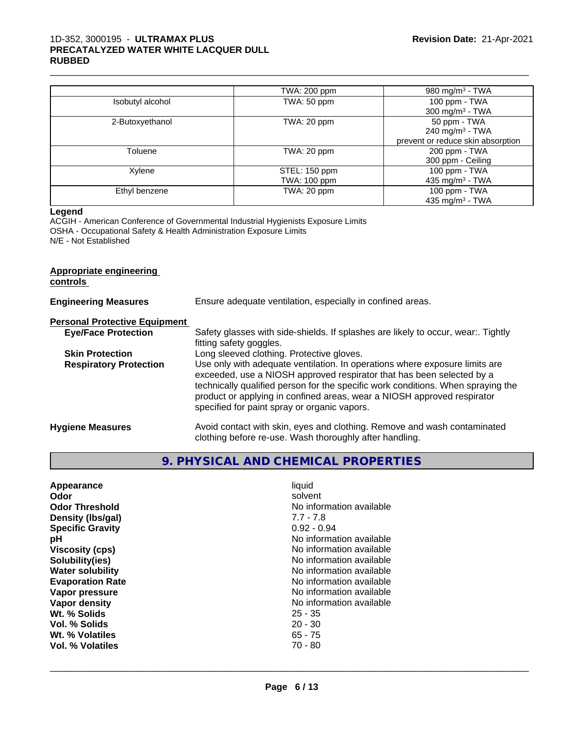#### 1D-352, 3000195 - **ULTRAMAX PLUS PRECATALYZED WATER WHITE LACQUER DULL RUBBED**

|                  | TWA: 200 ppm  | 980 mg/m <sup>3</sup> - TWA       |
|------------------|---------------|-----------------------------------|
| Isobutyl alcohol | TWA: 50 ppm   | 100 ppm - TWA                     |
|                  |               | 300 mg/m $3$ - TWA                |
| 2-Butoxyethanol  | TWA: 20 ppm   | 50 ppm - TWA                      |
|                  |               | 240 mg/m $3$ - TWA                |
|                  |               | prevent or reduce skin absorption |
| Toluene          | TWA: 20 ppm   | 200 ppm - TWA                     |
|                  |               | 300 ppm - Ceiling                 |
| Xylene           | STEL: 150 ppm | 100 ppm - TWA                     |
|                  | TWA: 100 ppm  | 435 mg/m <sup>3</sup> - TWA       |
| Ethyl benzene    | TWA: 20 ppm   | 100 ppm - TWA                     |
|                  |               | 435 mg/m $3$ - TWA                |

 $\_$  ,  $\_$  ,  $\_$  ,  $\_$  ,  $\_$  ,  $\_$  ,  $\_$  ,  $\_$  ,  $\_$  ,  $\_$  ,  $\_$  ,  $\_$  ,  $\_$  ,  $\_$  ,  $\_$  ,  $\_$  ,  $\_$  ,  $\_$  ,  $\_$  ,  $\_$  ,  $\_$  ,  $\_$  ,  $\_$  ,  $\_$  ,  $\_$  ,  $\_$  ,  $\_$  ,  $\_$  ,  $\_$  ,  $\_$  ,  $\_$  ,  $\_$  ,  $\_$  ,  $\_$  ,  $\_$  ,  $\_$  ,  $\_$  ,

#### **Legend**

ACGIH - American Conference of Governmental Industrial Hygienists Exposure Limits OSHA - Occupational Safety & Health Administration Exposure Limits N/E - Not Established

# **Appropriate engineering controls**

| <b>Engineering Measures</b>          | Ensure adequate ventilation, especially in confined areas.                                                                                                                                                                                                                                                                                                          |
|--------------------------------------|---------------------------------------------------------------------------------------------------------------------------------------------------------------------------------------------------------------------------------------------------------------------------------------------------------------------------------------------------------------------|
| <b>Personal Protective Equipment</b> |                                                                                                                                                                                                                                                                                                                                                                     |
| <b>Eye/Face Protection</b>           | Safety glasses with side-shields. If splashes are likely to occur, wear:. Tightly<br>fitting safety goggles.                                                                                                                                                                                                                                                        |
| <b>Skin Protection</b>               | Long sleeved clothing. Protective gloves.                                                                                                                                                                                                                                                                                                                           |
| <b>Respiratory Protection</b>        | Use only with adequate ventilation. In operations where exposure limits are<br>exceeded, use a NIOSH approved respirator that has been selected by a<br>technically qualified person for the specific work conditions. When spraying the<br>product or applying in confined areas, wear a NIOSH approved respirator<br>specified for paint spray or organic vapors. |
| <b>Hygiene Measures</b>              | Avoid contact with skin, eyes and clothing. Remove and wash contaminated<br>clothing before re-use. Wash thoroughly after handling.                                                                                                                                                                                                                                 |

# **9. PHYSICAL AND CHEMICAL PROPERTIES**

| Appearance<br>Odor<br><b>Odor Threshold</b><br>Density (Ibs/gal)<br><b>Specific Gravity</b><br>рH<br><b>Viscosity (cps)</b><br>Solubility(ies)<br><b>Water solubility</b><br><b>Evaporation Rate</b> | liquid<br>solvent<br>No information available<br>$7.7 - 7.8$<br>$0.92 - 0.94$<br>No information available<br>No information available<br>No information available<br>No information available<br>No information available |
|------------------------------------------------------------------------------------------------------------------------------------------------------------------------------------------------------|---------------------------------------------------------------------------------------------------------------------------------------------------------------------------------------------------------------------------|
|                                                                                                                                                                                                      |                                                                                                                                                                                                                           |
|                                                                                                                                                                                                      |                                                                                                                                                                                                                           |
|                                                                                                                                                                                                      |                                                                                                                                                                                                                           |
|                                                                                                                                                                                                      |                                                                                                                                                                                                                           |
|                                                                                                                                                                                                      |                                                                                                                                                                                                                           |
|                                                                                                                                                                                                      |                                                                                                                                                                                                                           |
| Vapor pressure                                                                                                                                                                                       | No information available                                                                                                                                                                                                  |
| Vapor density                                                                                                                                                                                        | No information available                                                                                                                                                                                                  |
| Wt. % Solids                                                                                                                                                                                         | $25 - 35$                                                                                                                                                                                                                 |
| Vol. % Solids                                                                                                                                                                                        | $20 - 30$                                                                                                                                                                                                                 |
| Wt. % Volatiles                                                                                                                                                                                      | $65 - 75$                                                                                                                                                                                                                 |
| Vol. % Volatiles                                                                                                                                                                                     | $70 - 80$                                                                                                                                                                                                                 |
|                                                                                                                                                                                                      |                                                                                                                                                                                                                           |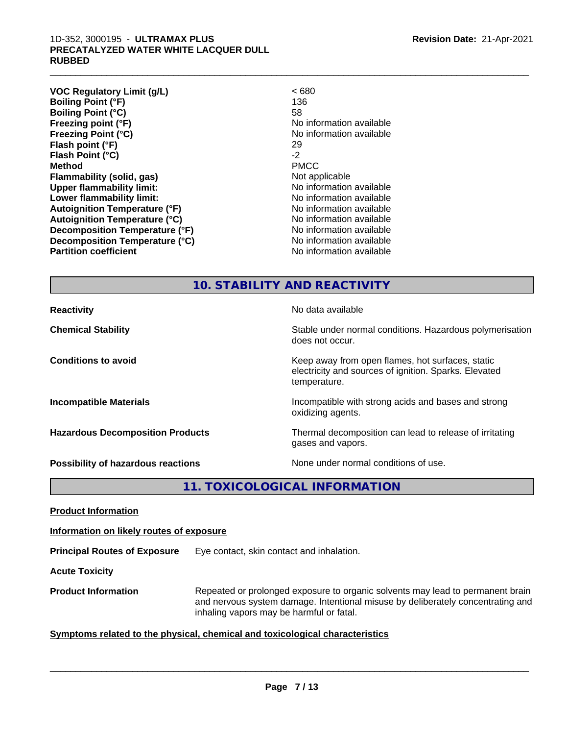#### 1D-352, 3000195 - **ULTRAMAX PLUS PRECATALYZED WATER WHITE LACQUER DULL RUBBED**

| <b>VOC Regulatory Limit (g/L)</b>    | <680                     |
|--------------------------------------|--------------------------|
| <b>Boiling Point (°F)</b>            | 136                      |
| <b>Boiling Point (°C)</b>            | 58                       |
| Freezing point (°F)                  | No information available |
| <b>Freezing Point (°C)</b>           | No information available |
| Flash point (°F)                     | 29                       |
| Flash Point (°C)                     | $-2$                     |
| <b>Method</b>                        | <b>PMCC</b>              |
| Flammability (solid, gas)            | Not applicable           |
| <b>Upper flammability limit:</b>     | No information available |
| Lower flammability limit:            | No information available |
| <b>Autoignition Temperature (°F)</b> | No information available |
| <b>Autoignition Temperature (°C)</b> | No information available |
| Decomposition Temperature (°F)       | No information available |
| Decomposition Temperature (°C)       | No information available |
| <b>Partition coefficient</b>         | No information available |
|                                      |                          |

 $\_$  ,  $\_$  ,  $\_$  ,  $\_$  ,  $\_$  ,  $\_$  ,  $\_$  ,  $\_$  ,  $\_$  ,  $\_$  ,  $\_$  ,  $\_$  ,  $\_$  ,  $\_$  ,  $\_$  ,  $\_$  ,  $\_$  ,  $\_$  ,  $\_$  ,  $\_$  ,  $\_$  ,  $\_$  ,  $\_$  ,  $\_$  ,  $\_$  ,  $\_$  ,  $\_$  ,  $\_$  ,  $\_$  ,  $\_$  ,  $\_$  ,  $\_$  ,  $\_$  ,  $\_$  ,  $\_$  ,  $\_$  ,  $\_$  ,

# **10. STABILITY AND REACTIVITY**

| <b>Reactivity</b>                       | No data available                                                                                                         |
|-----------------------------------------|---------------------------------------------------------------------------------------------------------------------------|
| <b>Chemical Stability</b>               | Stable under normal conditions. Hazardous polymerisation<br>does not occur.                                               |
| <b>Conditions to avoid</b>              | Keep away from open flames, hot surfaces, static<br>electricity and sources of ignition. Sparks. Elevated<br>temperature. |
| <b>Incompatible Materials</b>           | Incompatible with strong acids and bases and strong<br>oxidizing agents.                                                  |
| <b>Hazardous Decomposition Products</b> | Thermal decomposition can lead to release of irritating<br>gases and vapors.                                              |
| Possibility of hazardous reactions      | None under normal conditions of use.                                                                                      |

**11. TOXICOLOGICAL INFORMATION**

**Product Information**

**Information on likely routes of exposure**

**Principal Routes of Exposure** Eye contact, skin contact and inhalation.

**Acute Toxicity** 

**Product Information** Repeated or prolonged exposure to organic solvents may lead to permanent brain and nervous system damage. Intentional misuse by deliberately concentrating and inhaling vapors may be harmful or fatal.

#### **Symptoms related to the physical,chemical and toxicological characteristics**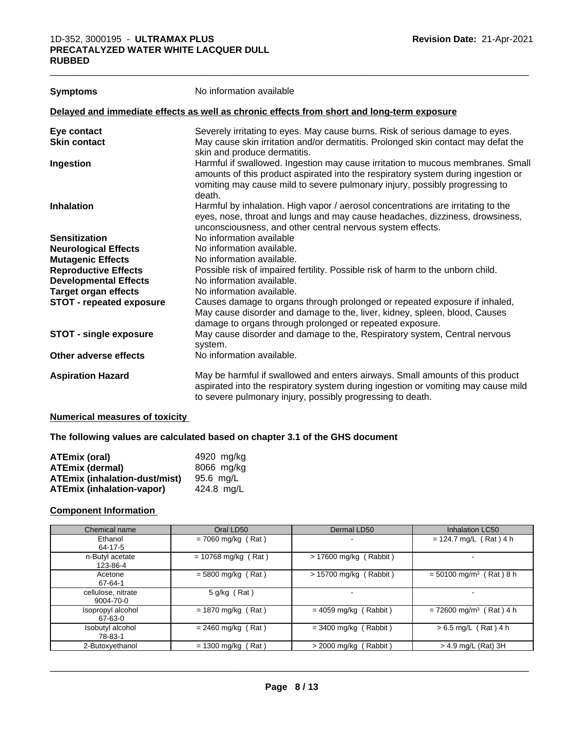| <b>Symptoms</b>                 | No information available                                                                                                                                                                                                                                      |
|---------------------------------|---------------------------------------------------------------------------------------------------------------------------------------------------------------------------------------------------------------------------------------------------------------|
|                                 | Delayed and immediate effects as well as chronic effects from short and long-term exposure                                                                                                                                                                    |
| Eye contact                     | Severely irritating to eyes. May cause burns. Risk of serious damage to eyes.                                                                                                                                                                                 |
| <b>Skin contact</b>             | May cause skin irritation and/or dermatitis. Prolonged skin contact may defat the<br>skin and produce dermatitis.                                                                                                                                             |
| Ingestion                       | Harmful if swallowed. Ingestion may cause irritation to mucous membranes. Small<br>amounts of this product aspirated into the respiratory system during ingestion or<br>vomiting may cause mild to severe pulmonary injury, possibly progressing to<br>death. |
| <b>Inhalation</b>               | Harmful by inhalation. High vapor / aerosol concentrations are irritating to the<br>eyes, nose, throat and lungs and may cause headaches, dizziness, drowsiness,<br>unconsciousness, and other central nervous system effects.                                |
| <b>Sensitization</b>            | No information available                                                                                                                                                                                                                                      |
| <b>Neurological Effects</b>     | No information available.                                                                                                                                                                                                                                     |
| <b>Mutagenic Effects</b>        | No information available.                                                                                                                                                                                                                                     |
| <b>Reproductive Effects</b>     | Possible risk of impaired fertility. Possible risk of harm to the unborn child.                                                                                                                                                                               |
| <b>Developmental Effects</b>    | No information available.                                                                                                                                                                                                                                     |
| <b>Target organ effects</b>     | No information available.                                                                                                                                                                                                                                     |
| <b>STOT - repeated exposure</b> | Causes damage to organs through prolonged or repeated exposure if inhaled,<br>May cause disorder and damage to the, liver, kidney, spleen, blood, Causes<br>damage to organs through prolonged or repeated exposure.                                          |
| <b>STOT - single exposure</b>   | May cause disorder and damage to the, Respiratory system, Central nervous<br>system.                                                                                                                                                                          |
| Other adverse effects           | No information available.                                                                                                                                                                                                                                     |
| <b>Aspiration Hazard</b>        | May be harmful if swallowed and enters airways. Small amounts of this product<br>aspirated into the respiratory system during ingestion or vomiting may cause mild<br>to severe pulmonary injury, possibly progressing to death.                              |

 $\_$  ,  $\_$  ,  $\_$  ,  $\_$  ,  $\_$  ,  $\_$  ,  $\_$  ,  $\_$  ,  $\_$  ,  $\_$  ,  $\_$  ,  $\_$  ,  $\_$  ,  $\_$  ,  $\_$  ,  $\_$  ,  $\_$  ,  $\_$  ,  $\_$  ,  $\_$  ,  $\_$  ,  $\_$  ,  $\_$  ,  $\_$  ,  $\_$  ,  $\_$  ,  $\_$  ,  $\_$  ,  $\_$  ,  $\_$  ,  $\_$  ,  $\_$  ,  $\_$  ,  $\_$  ,  $\_$  ,  $\_$  ,  $\_$  ,

#### **Numerical measures of toxicity**

#### **The following values are calculated based on chapter 3.1 of the GHS document**

| <b>ATEmix (oral)</b>                 | 4920 mg/ka |
|--------------------------------------|------------|
| <b>ATEmix (dermal)</b>               | 8066 mg/kg |
| <b>ATEmix (inhalation-dust/mist)</b> | 95.6 ma/L  |
| <b>ATEmix (inhalation-vapor)</b>     | 424.8 ma/L |

#### **Component Information**

| Chemical name                   | Oral LD50             | Dermal LD50              | <b>Inhalation LC50</b>                |
|---------------------------------|-----------------------|--------------------------|---------------------------------------|
| Ethanol<br>64-17-5              | $= 7060$ mg/kg (Rat)  | $\blacksquare$           | $= 124.7$ mg/L (Rat) 4 h              |
| n-Butyl acetate<br>123-86-4     | $= 10768$ mg/kg (Rat) | $> 17600$ mg/kg (Rabbit) |                                       |
| Acetone<br>67-64-1              | $=$ 5800 mg/kg (Rat)  | $> 15700$ mg/kg (Rabbit) | $= 50100$ mg/m <sup>3</sup> (Rat) 8 h |
| cellulose, nitrate<br>9004-70-0 | $5$ g/kg (Rat)        | $\,$                     |                                       |
| Isopropyl alcohol<br>67-63-0    | $= 1870$ mg/kg (Rat)  | $= 4059$ mg/kg (Rabbit)  | $= 72600$ mg/m <sup>3</sup> (Rat) 4 h |
| Isobutyl alcohol<br>78-83-1     | $= 2460$ mg/kg (Rat)  | $=$ 3400 mg/kg (Rabbit)  | $> 6.5$ mg/L (Rat) 4 h                |
| 2-Butoxyethanol                 | $= 1300$ mg/kg (Rat)  | $>$ 2000 mg/kg (Rabbit)  | $>$ 4.9 mg/L (Rat) 3H                 |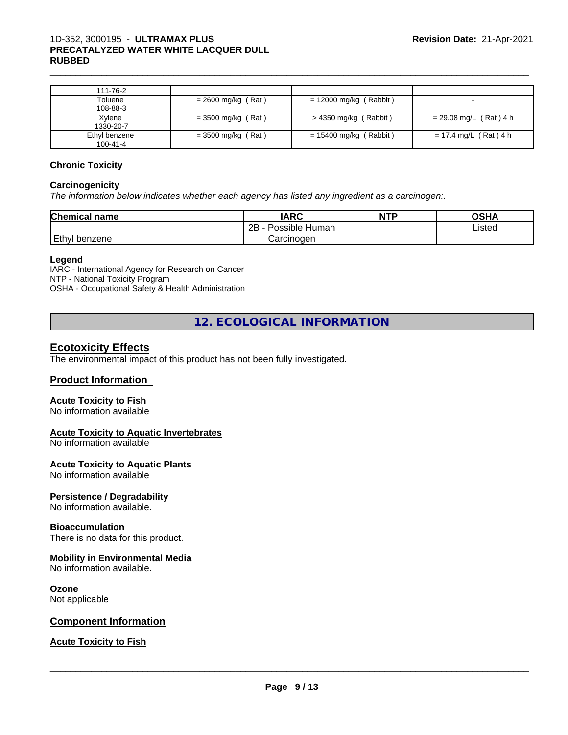| 111-76-2                  |                      |                          |                          |
|---------------------------|----------------------|--------------------------|--------------------------|
| Toluene<br>108-88-3       | $= 2600$ mg/kg (Rat) | $= 12000$ mg/kg (Rabbit) | $\,$ – $\,$              |
| Xylene<br>1330-20-7       | $=$ 3500 mg/kg (Rat) | > 4350 mg/kg (Rabbit)    | $= 29.08$ mg/L (Rat) 4 h |
| Ethyl benzene<br>100-41-4 | $=$ 3500 mg/kg (Rat) | $= 15400$ mg/kg (Rabbit) | $= 17.4$ mg/L (Rat) 4 h  |

#### **Chronic Toxicity**

#### **Carcinogenicity**

*The information below indicateswhether each agency has listed any ingredient as a carcinogen:.*

| <b>Chemical</b><br>name | <b>IARC</b>                    | <b>NTP</b> | <b>OSHA</b> |
|-------------------------|--------------------------------|------------|-------------|
|                         | .<br>2B<br>: Human<br>Possible |            | Listed      |
| Ethyl<br>l benzene      | Carcinoɑen                     |            |             |

#### **Legend**

IARC - International Agency for Research on Cancer NTP - National Toxicity Program OSHA - Occupational Safety & Health Administration

**12. ECOLOGICAL INFORMATION**

# **Ecotoxicity Effects**

The environmental impact of this product has not been fully investigated.

#### **Product Information**

#### **Acute Toxicity to Fish**

No information available

#### **Acute Toxicity to Aquatic Invertebrates**

No information available

#### **Acute Toxicity to Aquatic Plants**

No information available

#### **Persistence / Degradability**

No information available.

#### **Bioaccumulation**

There is no data for this product.

#### **Mobility in Environmental Media**

No information available.

#### **Ozone**

Not applicable

#### **Component Information**

#### **Acute Toxicity to Fish**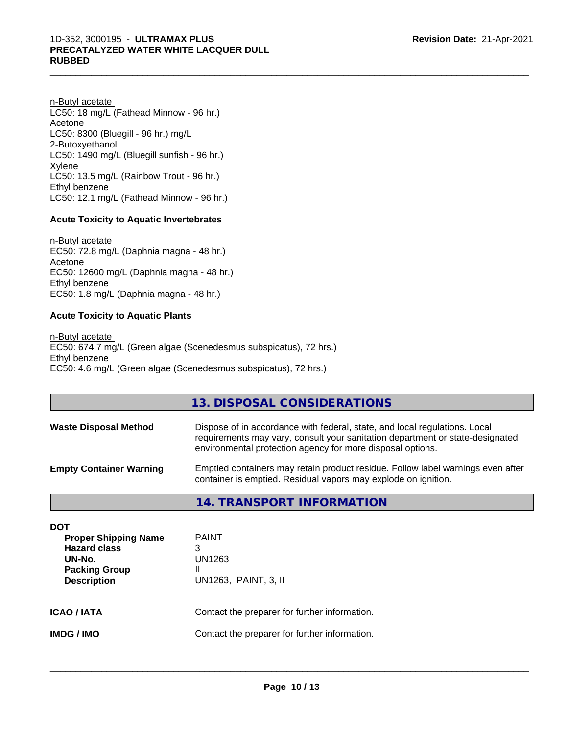n-Butyl acetate LC50: 18 mg/L (Fathead Minnow - 96 hr.) Acetone LC50: 8300 (Bluegill - 96 hr.) mg/L 2-Butoxyethanol LC50: 1490 mg/L (Bluegill sunfish - 96 hr.) Xylene LC50: 13.5 mg/L (Rainbow Trout - 96 hr.) Ethyl benzene LC50: 12.1 mg/L (Fathead Minnow - 96 hr.)

#### **Acute Toxicity to Aquatic Invertebrates**

n-Butyl acetate EC50: 72.8 mg/L (Daphnia magna - 48 hr.) Acetone EC50: 12600 mg/L (Daphnia magna - 48 hr.) Ethyl benzene EC50: 1.8 mg/L (Daphnia magna - 48 hr.)

#### **Acute Toxicity to Aquatic Plants**

n-Butyl acetate EC50: 674.7 mg/L (Green algae (Scenedesmus subspicatus), 72 hrs.) Ethyl benzene EC50: 4.6 mg/L (Green algae (Scenedesmus subspicatus), 72 hrs.)

# **13. DISPOSAL CONSIDERATIONS**

| <b>Waste Disposal Method</b>   | Dispose of in accordance with federal, state, and local regulations. Local<br>requirements may vary, consult your sanitation department or state-designated<br>environmental protection agency for more disposal options. |
|--------------------------------|---------------------------------------------------------------------------------------------------------------------------------------------------------------------------------------------------------------------------|
| <b>Empty Container Warning</b> | Emptied containers may retain product residue. Follow label warnings even after<br>container is emptied. Residual vapors may explode on ignition.                                                                         |

#### **14. TRANSPORT INFORMATION**

| DOT<br><b>Proper Shipping Name</b><br><b>Hazard class</b><br>UN-No.<br><b>Packing Group</b><br><b>Description</b> | <b>PAINT</b><br>3<br>UN1263<br>Ш<br>UN1263, PAINT, 3, II |
|-------------------------------------------------------------------------------------------------------------------|----------------------------------------------------------|
| <b>ICAO/IATA</b>                                                                                                  | Contact the preparer for further information.            |
| <b>IMDG/IMO</b>                                                                                                   | Contact the preparer for further information.            |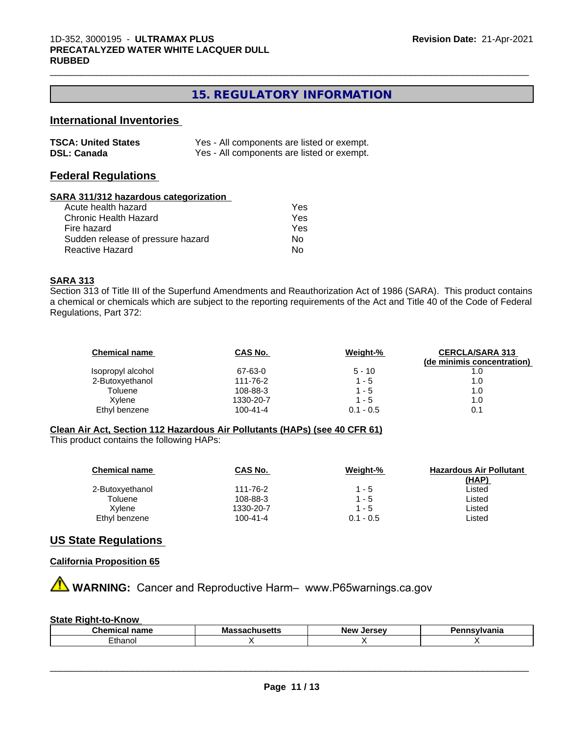# **15. REGULATORY INFORMATION**

 $\_$  ,  $\_$  ,  $\_$  ,  $\_$  ,  $\_$  ,  $\_$  ,  $\_$  ,  $\_$  ,  $\_$  ,  $\_$  ,  $\_$  ,  $\_$  ,  $\_$  ,  $\_$  ,  $\_$  ,  $\_$  ,  $\_$  ,  $\_$  ,  $\_$  ,  $\_$  ,  $\_$  ,  $\_$  ,  $\_$  ,  $\_$  ,  $\_$  ,  $\_$  ,  $\_$  ,  $\_$  ,  $\_$  ,  $\_$  ,  $\_$  ,  $\_$  ,  $\_$  ,  $\_$  ,  $\_$  ,  $\_$  ,  $\_$  ,

# **International Inventories**

| <b>TSCA: United States</b> | Yes - All components are listed or exempt. |
|----------------------------|--------------------------------------------|
| <b>DSL: Canada</b>         | Yes - All components are listed or exempt. |

#### **Federal Regulations**

#### **SARA 311/312 hazardous categorization**

| Acute health hazard               | Yes |  |
|-----------------------------------|-----|--|
| Chronic Health Hazard             | Yes |  |
| Fire hazard                       | Yes |  |
| Sudden release of pressure hazard | N٥  |  |
| Reactive Hazard                   | N٥  |  |

#### **SARA 313**

Section 313 of Title III of the Superfund Amendments and Reauthorization Act of 1986 (SARA). This product contains a chemical or chemicals which are subject to the reporting requirements of the Act and Title 40 of the Code of Federal Regulations, Part 372:

| <b>Chemical name</b> | CAS No.        | Weight-%    | <b>CERCLA/SARA 313</b>     |
|----------------------|----------------|-------------|----------------------------|
|                      |                |             | (de minimis concentration) |
| Isopropyl alcohol    | 67-63-0        | $5 - 10$    | 1.0                        |
| 2-Butoxyethanol      | 111-76-2       | $1 - 5$     | 1.0                        |
| Toluene              | 108-88-3       | 1 - 5       | 1.0                        |
| Xvlene               | 1330-20-7      | $1 - 5$     | 1.0                        |
| Ethyl benzene        | $100 - 41 - 4$ | $0.1 - 0.5$ | 0.1                        |

#### **Clean Air Act,Section 112 Hazardous Air Pollutants (HAPs) (see 40 CFR 61)**

This product contains the following HAPs:

| <b>Chemical name</b> | <b>CAS No.</b> | Weight-%    | <b>Hazardous Air Pollutant</b> |
|----------------------|----------------|-------------|--------------------------------|
|                      |                |             | <u>(HAP)</u>                   |
| 2-Butoxyethanol      | 111-76-2       | $1 - 5$     | Listed                         |
| Toluene              | 108-88-3       | $1 - 5$     | Listed                         |
| Xvlene               | 1330-20-7      | $1 - 5$     | Listed                         |
| Ethyl benzene        | $100 - 41 - 4$ | $0.1 - 0.5$ | ∟isted                         |

#### **US State Regulations**

#### **California Proposition 65**

**AVIMARNING:** Cancer and Reproductive Harm– www.P65warnings.ca.gov

#### **State Right-to-Know**

| $-1$<br>.<br>. .<br>· name<br>91 I I I C<br>uu | Mas<br>--------<br>matu | Areau<br><b>Nev</b><br> | .<br>anıa |
|------------------------------------------------|-------------------------|-------------------------|-----------|
| ≞thano⊩                                        |                         |                         |           |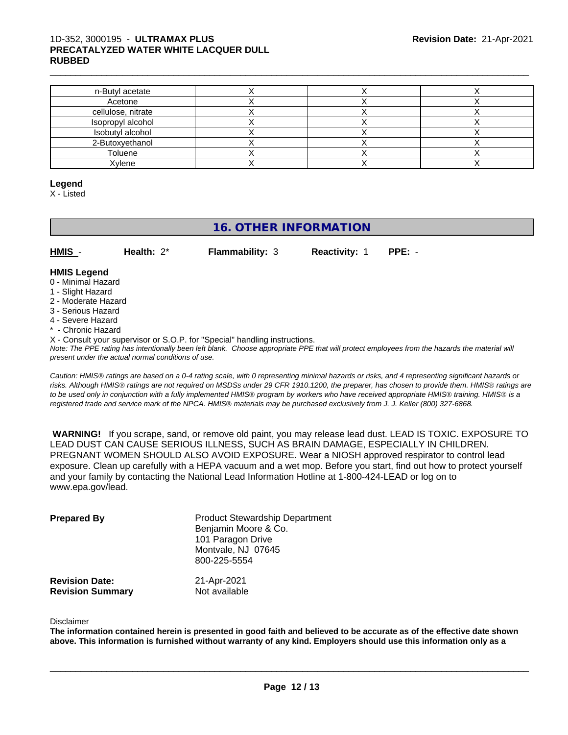#### $\_$  ,  $\_$  ,  $\_$  ,  $\_$  ,  $\_$  ,  $\_$  ,  $\_$  ,  $\_$  ,  $\_$  ,  $\_$  ,  $\_$  ,  $\_$  ,  $\_$  ,  $\_$  ,  $\_$  ,  $\_$  ,  $\_$  ,  $\_$  ,  $\_$  ,  $\_$  ,  $\_$  ,  $\_$  ,  $\_$  ,  $\_$  ,  $\_$  ,  $\_$  ,  $\_$  ,  $\_$  ,  $\_$  ,  $\_$  ,  $\_$  ,  $\_$  ,  $\_$  ,  $\_$  ,  $\_$  ,  $\_$  ,  $\_$  , 1D-352, 3000195 - **ULTRAMAX PLUS PRECATALYZED WATER WHITE LACQUER DULL RUBBED**

| n-Butyl acetate    |  |  |
|--------------------|--|--|
| Acetone            |  |  |
| cellulose, nitrate |  |  |
| Isopropyl alcohol  |  |  |
| Isobutyl alcohol   |  |  |
| 2-Butoxyethanol    |  |  |
| Toluene            |  |  |
| Xylene             |  |  |

#### **Legend**

X - Listed

# **16. OTHER INFORMATION**

| <b>Reactivity: 1 PPE: -</b> | HMIS | Health: $2^*$ | <b>Flammability: 3</b> |  |  |  |
|-----------------------------|------|---------------|------------------------|--|--|--|
|-----------------------------|------|---------------|------------------------|--|--|--|

# **HMIS Legend**

- 0 Minimal Hazard
- 1 Slight Hazard
- 2 Moderate Hazard
- 3 Serious Hazard
- 4 Severe Hazard
- \* Chronic Hazard
- X Consult your supervisor or S.O.P. for "Special" handling instructions.

*Note: The PPE rating has intentionally been left blank. Choose appropriate PPE that will protect employees from the hazards the material will present under the actual normal conditions of use.*

*Caution: HMISÒ ratings are based on a 0-4 rating scale, with 0 representing minimal hazards or risks, and 4 representing significant hazards or risks. Although HMISÒ ratings are not required on MSDSs under 29 CFR 1910.1200, the preparer, has chosen to provide them. HMISÒ ratings are to be used only in conjunction with a fully implemented HMISÒ program by workers who have received appropriate HMISÒ training. HMISÒ is a registered trade and service mark of the NPCA. HMISÒ materials may be purchased exclusively from J. J. Keller (800) 327-6868.*

 **WARNING!** If you scrape, sand, or remove old paint, you may release lead dust. LEAD IS TOXIC. EXPOSURE TO LEAD DUST CAN CAUSE SERIOUS ILLNESS, SUCH AS BRAIN DAMAGE, ESPECIALLY IN CHILDREN. PREGNANT WOMEN SHOULD ALSO AVOID EXPOSURE.Wear a NIOSH approved respirator to control lead exposure. Clean up carefully with a HEPA vacuum and a wet mop. Before you start, find out how to protect yourself and your family by contacting the National Lead Information Hotline at 1-800-424-LEAD or log on to www.epa.gov/lead.

| <b>Prepared By</b>      | <b>Product Stewardship Department</b><br>Benjamin Moore & Co.<br>101 Paragon Drive<br>Montvale, NJ 07645<br>800-225-5554 |
|-------------------------|--------------------------------------------------------------------------------------------------------------------------|
| <b>Revision Date:</b>   | 21-Apr-2021                                                                                                              |
| <b>Revision Summary</b> | Not available                                                                                                            |

#### Disclaimer

The information contained herein is presented in good faith and believed to be accurate as of the effective date shown above. This information is furnished without warranty of any kind. Employers should use this information only as a